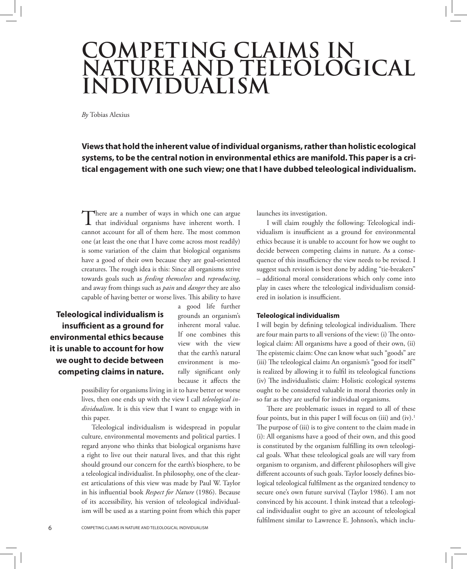# **COMPETING CLAIMS IN NATURE AND TELEOLOGICAL INDIVIDUALISM**

*By* Tobias Alexius

**Views that hold the inherent value of individual organisms, rather than holistic ecological systems, to be the central notion in environmental ethics are manifold. This paper is a critical engagement with one such view; one that I have dubbed teleological individualism.**

There are a number of ways in which one can argue<br>that individual organisms have inherent worth. I cannot account for all of them here. The most common one (at least the one that I have come across most readily) is some variation of the claim that biological organisms have a good of their own because they are goal-oriented creatures. The rough idea is this: Since all organisms strive towards goals such as *feeding themselves* and *reproducing*, and away from things such as *pain* and *danger* they are also capable of having better or worse lives. This ability to have

**Teleological individualism is insufficient as a ground for environmental ethics because it is unable to account for how we ought to decide between competing claims in nature.** a good life further grounds an organism's inherent moral value. If one combines this view with the view that the earth's natural environment is morally significant only because it affects the

possibility for organisms living in it to have better or worse lives, then one ends up with the view I call *teleological individualism*. It is this view that I want to engage with in this paper.

Teleological individualism is widespread in popular culture, environmental movements and political parties. I regard anyone who thinks that biological organisms have a right to live out their natural lives, and that this right should ground our concern for the earth's biosphere, to be a teleological individualist. In philosophy, one of the clearest articulations of this view was made by Paul W. Taylor in his influential book *Respect for Nature* (1986). Because of its accessibility, his version of teleological individualism will be used as a starting point from which this paper launches its investigation.

I will claim roughly the following: Teleological individualism is insufficient as a ground for environmental ethics because it is unable to account for how we ought to decide between competing claims in nature. As a consequence of this insufficiency the view needs to be revised. I suggest such revision is best done by adding "tie-breakers" – additional moral considerations which only come into play in cases where the teleological individualism considered in isolation is insufficient.

## **Teleological individualism**

I will begin by defining teleological individualism. There are four main parts to all versions of the view: (i) The ontological claim: All organisms have a good of their own, (ii) The epistemic claim: One can know what such "goods" are (iii) The teleological claim**:** An organism's "good for itself" is realized by allowing it to fulfil its teleological functions (iv) The individualistic claim: Holistic ecological systems ought to be considered valuable in moral theories only in so far as they are useful for individual organisms.

There are problematic issues in regard to all of these four points, but in this paper I will focus on (iii) and  $(iv)$ .<sup>1</sup> The purpose of (iii) is to give content to the claim made in (i): All organisms have a good of their own, and this good is constituted by the organism fulfilling its own teleological goals. What these teleological goals are will vary from organism to organism, and different philosophers will give different accounts of such goals. Taylor loosely defines biological teleological fulfilment as the organized tendency to secure one's own future survival (Taylor 1986). I am not convinced by his account. I think instead that a teleological individualist ought to give an account of teleological fulfilment similar to Lawrence E. Johnson's, which inclu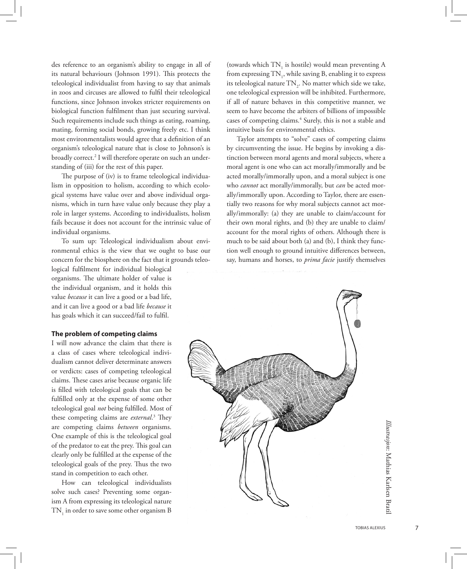des reference to an organism's ability to engage in all of its natural behaviours (Johnson 1991). This protects the teleological individualist from having to say that animals in zoos and circuses are allowed to fulfil their teleological functions, since Johnson invokes stricter requirements on biological function fulfilment than just securing survival. Such requirements include such things as eating, roaming, mating, forming social bonds, growing freely etc. I think most environmentalists would agree that a definition of an organism's teleological nature that is close to Johnson's is broadly correct.2 I will therefore operate on such an understanding of (iii) for the rest of this paper.

The purpose of (iv) is to frame teleological individualism in opposition to holism, according to which ecological systems have value over and above individual organisms, which in turn have value only because they play a role in larger systems. According to individualists, holism fails because it does not account for the intrinsic value of individual organisms.

To sum up: Teleological individualism about environmental ethics is the view that we ought to base our concern for the biosphere on the fact that it grounds teleo-

logical fulfilment for individual biological organisms. The ultimate holder of value is the individual organism, and it holds this value *because* it can live a good or a bad life, and it can live a good or a bad life *because* it has goals which it can succeed/fail to fulfil.

# **The problem of competing claims**

I will now advance the claim that there is a class of cases where teleological individualism cannot deliver determinate answers or verdicts: cases of competing teleological claims. These cases arise because organic life is filled with teleological goals that can be fulfilled only at the expense of some other teleological goal *not* being fulfilled. Most of these competing claims are *external*. 3 They are competing claims *between* organisms. One example of this is the teleological goal of the predator to eat the prey. This goal can clearly only be fulfilled at the expense of the teleological goals of the prey. Thus the two stand in competition to each other.

How can teleological individualists solve such cases? Preventing some organism A from expressing its teleological nature  $\text{TN}_1$  in order to save some other organism B

(towards which  $TN_1$  is hostile) would mean preventing A from expressing  $\text{TN}_1$ , while saving B, enabling it to express its teleological nature  $\text{TN}_2$ . No matter which side we take, one teleological expression will be inhibited. Furthermore, if all of nature behaves in this competitive manner, we seem to have become the arbiters of billions of impossible cases of competing claims.4 Surely, this is not a stable and intuitive basis for environmental ethics.

Taylor attempts to "solve" cases of competing claims by circumventing the issue. He begins by invoking a distinction between moral agents and moral subjects, where a moral agent is one who can act morally/immorally and be acted morally/immorally upon, and a moral subject is one who *cannot* act morally/immorally, but *can* be acted morally/immorally upon. According to Taylor, there are essentially two reasons for why moral subjects cannot act morally/immorally: (a) they are unable to claim/account for their own moral rights, and (b) they are unable to claim/ account for the moral rights of others. Although there is much to be said about both (a) and (b), I think they function well enough to ground intuitive differences between, say, humans and horses, to *prima facie* justify themselves



: Mathias Karlsen Bratil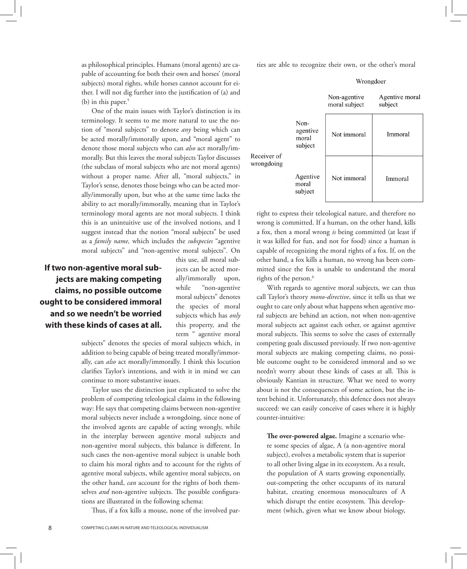as philosophical principles. Humans (moral agents) are capable of accounting for both their own and horses' (moral subjects) moral rights, while horses cannot account for either. I will not dig further into the justification of (a) and (b) in this paper.<sup>5</sup>

One of the main issues with Taylor's distinction is its terminology. It seems to me more natural to use the notion of "moral subjects" to denote *any* being which can be acted morally/immorally upon, and "moral agent" to denote those moral subjects who can *also* act morally/immorally. But this leaves the moral subjects Taylor discusses (the subclass of moral subjects who are not moral agents) without a proper name. After all, "moral subjects," in Taylor's sense, denotes those beings who can be acted morally/immorally upon, but who at the same time lacks the ability to act morally/immorally, meaning that in Taylor's terminology moral agents are not moral subjects. I think this is an unintuitive use of the involved notions, and I suggest instead that the notion "moral subjects" be used as a *family name,* which includes the *subspecies* "agentive moral subjects" and "non-agentive moral subjects". On

**If two non-agentive moral subjects are making competing claims, no possible outcome ought to be considered immoral and so we needn't be worried with these kinds of cases at all.**

this use, all moral subjects can be acted morally/immorally upon, while "non-agentive moral subjects" denotes the species of moral subjects which has *only* this property, and the term " agentive moral

subjects" denotes the species of moral subjects which, in addition to being capable of being treated morally/immorally, can *also* act morally/immorally. I think this locution clarifies Taylor's intentions, and with it in mind we can continue to more substantive issues.

Taylor uses the distinction just explicated to solve the problem of competing teleological claims in the following way: He says that competing claims between non-agentive moral subjects never include a wrongdoing, since none of the involved agents are capable of acting wrongly, while in the interplay between agentive moral subjects and non-agentive moral subjects, this balance is different. In such cases the non-agentive moral subject is unable both to claim his moral rights and to account for the rights of agentive moral subjects, while agentive moral subjects, on the other hand, *can* account for the rights of both themselves *and* non-agentive subjects. The possible configurations are illustrated in the following schema:

Thus, if a fox kills a mouse, none of the involved par-

ties are able to recognize their own, or the other's moral



right to express their teleological nature, and therefore no wrong is committed. If a human, on the other hand, kills a fox, then a moral wrong *is* being committed (at least if it was killed for fun, and not for food) since a human is capable of recognizing the moral rights of a fox. If, on the other hand, a fox kills a human, no wrong has been committed since the fox is unable to understand the moral rights of the person.<sup>6</sup>

With regards to agentive moral subjects, we can thus call Taylor's theory *mono-directive*, since it tells us that we ought to care only about what happens when agentive moral subjects are behind an action, not when non-agentive moral subjects act against each other, or against agentive moral subjects. This seems to solve the cases of externally competing goals discussed previously. If two non-agentive moral subjects are making competing claims, no possible outcome ought to be considered immoral and so we needn't worry about these kinds of cases at all. This is obviously Kantian in structure. What we need to worry about is not the consequences of some action, but the intent behind it. Unfortunately, this defence does not always succeed: we can easily conceive of cases where it is highly counter-intuitive:

**The over-powered algae.** Imagine a scenario where some species of algae, A (a non-agentive moral subject), evolves a metabolic system that is superior to all other living algae in its ecosystem. As a result, the population of A starts growing exponentially, out-competing the other occupants of its natural habitat, creating enormous monocultures of A which disrupt the entire ecosystem. This development (which, given what we know about biology,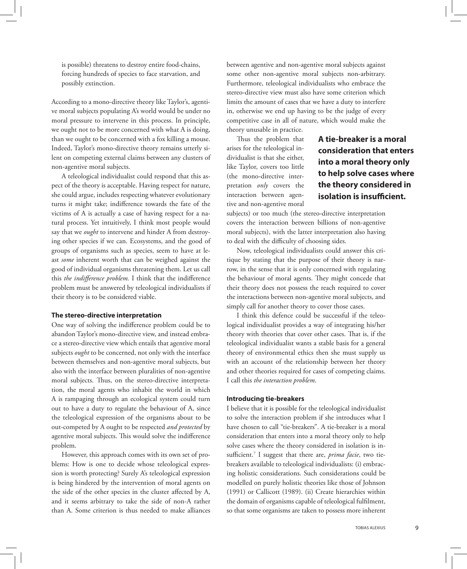is possible) threatens to destroy entire food-chains, forcing hundreds of species to face starvation, and possibly extinction.

According to a mono-directive theory like Taylor's, agentive moral subjects populating A's world would be under no moral pressure to intervene in this process. In principle, we ought not to be more concerned with what A is doing, than we ought to be concerned with a fox killing a mouse. Indeed, Taylor's mono-directive theory remains utterly silent on competing external claims between any clusters of non-agentive moral subjects.

A teleological individualist could respond that this aspect of the theory is acceptable. Having respect for nature, she could argue, includes respecting whatever evolutionary turns it might take; indifference towards the fate of the victims of A is actually a case of having respect for a natural process. Yet intuitively, I think most people would say that we *ought* to intervene and hinder A from destroying other species if we can. Ecosystems, and the good of groups of organisms such as species, seem to have at least *some* inherent worth that can be weighed against the good of individual organisms threatening them. Let us call this *the indifference problem.* I think that the indifference problem must be answered by teleological individualists if their theory is to be considered viable.

#### **The stereo-directive interpretation**

One way of solving the indifference problem could be to abandon Taylor's mono-directive view, and instead embrace a stereo-directive view which entails that agentive moral subjects *ought* to be concerned, not only with the interface between themselves and non-agentive moral subjects, but also with the interface between pluralities of non-agentive moral subjects. Thus, on the stereo-directive interpretation, the moral agents who inhabit the world in which A is rampaging through an ecological system could turn out to have a duty to regulate the behaviour of A, since the teleological expression of the organisms about to be out-competed by A ought to be respected *and protected* by agentive moral subjects. This would solve the indifference problem.

However, this approach comes with its own set of problems: How is one to decide whose teleological expression is worth protecting? Surely A's teleological expression is being hindered by the intervention of moral agents on the side of the other species in the cluster affected by A, and it seems arbitrary to take the side of non-A rather than A. Some criterion is thus needed to make alliances

between agentive and non-agentive moral subjects against some other non-agentive moral subjects non-arbitrary. Furthermore, teleological individualists who embrace the stereo-directive view must also have some criterion which limits the amount of cases that we have a duty to interfere in, otherwise we end up having to be the judge of every competitive case in all of nature, which would make the theory unusable in practice.

Thus the problem that arises for the teleological individualist is that she either, like Taylor, covers too little (the mono-directive interpretation *only* covers the interaction between agentive and non-agentive moral **A tie-breaker is a moral consideration that enters into a moral theory only to help solve cases where the theory considered in isolation is insufficient.**

subjects) or too much (the stereo-directive interpretation covers the interaction between billions of non-agentive moral subjects), with the latter interpretation also having to deal with the difficulty of choosing sides.

Now, teleological individualists could answer this critique by stating that the purpose of their theory is narrow, in the sense that it is only concerned with regulating the behaviour of moral agents. They might concede that their theory does not possess the reach required to cover the interactions between non-agentive moral subjects, and simply call for another theory to cover those cases.

I think this defence could be successful if the teleological individualist provides a way of integrating his/her theory with theories that cover other cases. That is, if the teleological individualist wants a stable basis for a general theory of environmental ethics then she must supply us with an account of the relationship between her theory and other theories required for cases of competing claims. I call this *the interaction problem*.

# **Introducing tie-breakers**

I believe that it is possible for the teleological individualist to solve the interaction problem if she introduces what I have chosen to call "tie-breakers". A tie-breaker is a moral consideration that enters into a moral theory only to help solve cases where the theory considered in isolation is insufficient.7 I suggest that there are, *prima facie*, two tiebreakers available to teleological individualists: (i) embracing holistic considerations. Such considerations could be modelled on purely holistic theories like those of Johnson (1991) or Callicott (1989). (ii) Create hierarchies within the domain of organisms capable of teleological fulfilment, so that some organisms are taken to possess more inherent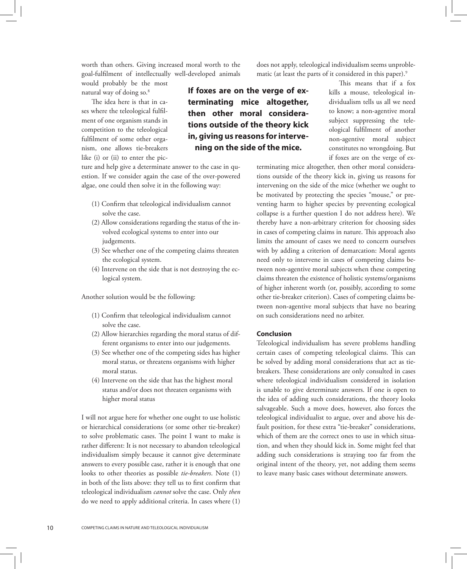worth than others. Giving increased moral worth to the goal-fulfilment of intellectually well-developed animals

would probably be the most natural way of doing so.<sup>8</sup>

The idea here is that in cases where the teleological fulfilment of one organism stands in competition to the teleological fulfilment of some other organism, one allows tie-breakers like (i) or (ii) to enter the pic-

ture and help give a determinate answer to the case in question. If we consider again the case of the over-powered algae, one could then solve it in the following way:

- (1) Confirm that teleological individualism cannot solve the case.
- (2) Allow considerations regarding the status of the in volved ecological systems to enter into our judgements.
- (3) See whether one of the competing claims threaten the ecological system.
- (4) Intervene on the side that is not destroying the ec logical system.

Another solution would be the following:

- (1) Confirm that teleological individualism cannot solve the case.
- (2) Allow hierarchies regarding the moral status of dif ferent organisms to enter into our judgements.
- (3) See whether one of the competing sides has higher moral status, or threatens organisms with higher moral status.
- (4) Intervene on the side that has the highest moral status and/or does not threaten organisms with higher moral status

I will not argue here for whether one ought to use holistic or hierarchical considerations (or some other tie-breaker) to solve problematic cases. The point I want to make is rather different: It is not necessary to abandon teleological individualism simply because it cannot give determinate answers to every possible case, rather it is enough that one looks to other theories as possible *tie-breakers*. Note (1) in both of the lists above: they tell us to first confirm that teleological individualism *cannot* solve the case. Only *then* do we need to apply additional criteria. In cases where (1)

does not apply, teleological individualism seems unproblematic (at least the parts of it considered in this paper).<sup>9</sup>

**If foxes are on the verge of exterminating mice altogether, then other moral considerations outside of the theory kick in, giving us reasons for intervening on the side of the mice.**

This means that if a fox kills a mouse, teleological individualism tells us all we need to know; a non-agentive moral subject suppressing the teleological fulfilment of another non-agentive moral subject constitutes no wrongdoing. But if foxes are on the verge of ex-

terminating mice altogether, then other moral considerations outside of the theory kick in, giving us reasons for intervening on the side of the mice (whether we ought to be motivated by protecting the species "mouse," or preventing harm to higher species by preventing ecological collapse is a further question I do not address here). We thereby have a non-arbitrary criterion for choosing sides in cases of competing claims in nature. This approach also limits the amount of cases we need to concern ourselves with by adding a criterion of demarcation: Moral agents need only to intervene in cases of competing claims between non-agentive moral subjects when these competing claims threaten the existence of holistic systems/organisms of higher inherent worth (or, possibly, according to some other tie-breaker criterion). Cases of competing claims between non-agentive moral subjects that have no bearing on such considerations need no arbiter.

### **Conclusion**

Teleological individualism has severe problems handling certain cases of competing teleological claims. This can be solved by adding moral considerations that act as tiebreakers. These considerations are only consulted in cases where teleological individualism considered in isolation is unable to give determinate answers. If one is open to the idea of adding such considerations, the theory looks salvageable. Such a move does, however, also forces the teleological individualist to argue, over and above his default position, for these extra "tie-breaker" considerations, which of them are the correct ones to use in which situation, and when they should kick in. Some might feel that adding such considerations is straying too far from the original intent of the theory, yet, not adding them seems to leave many basic cases without determinate answers.